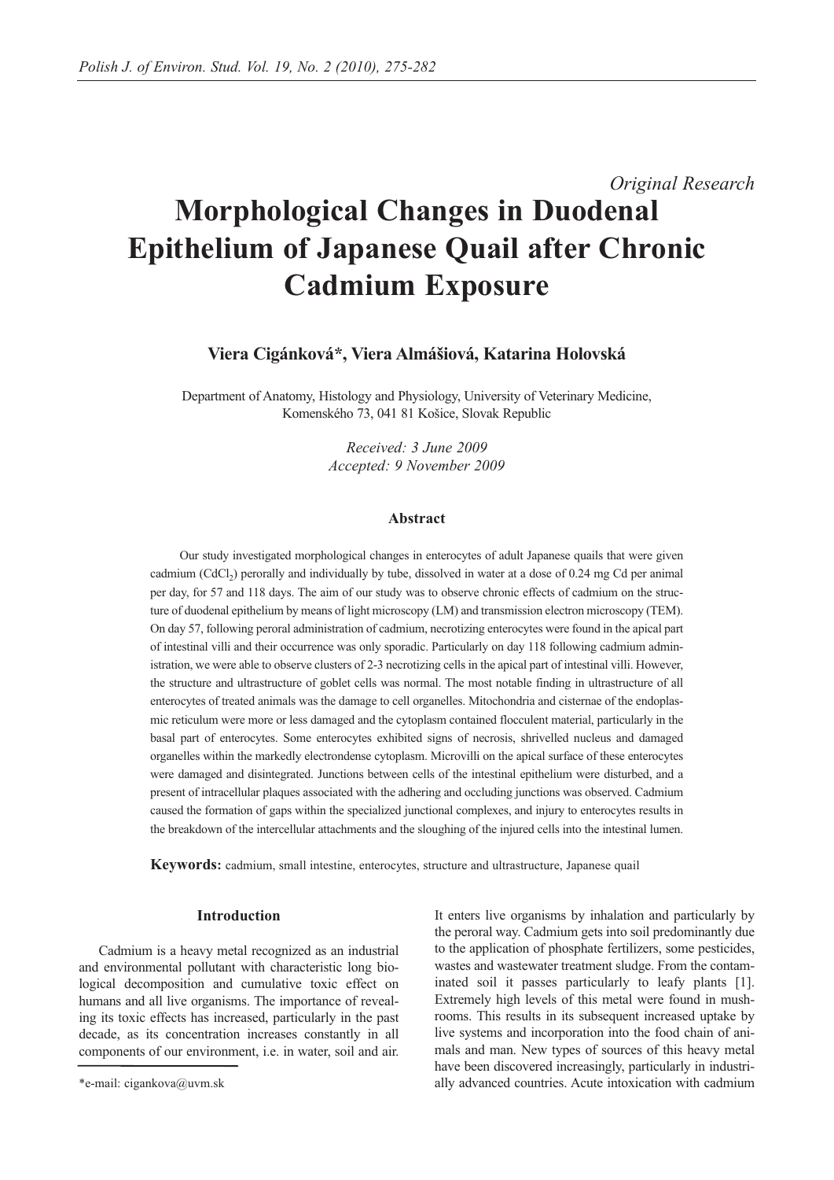# *Original Research* **Morphological Changes in Duodenal Epithelium of Japanese Quail after Chronic Cadmium Exposure**

# **Viera Cigánková\*, Viera Almášiová, Katarina Holovská**

Department of Anatomy, Histology and Physiology, University of Veterinary Medicine, Komenského 73, 041 81 Košice, Slovak Republic

> *Received: 3 June 2009 Accepted: 9 November 2009*

#### **Abstract**

Our study investigated morphological changes in enterocytes of adult Japanese quails that were given cadmium (CdCl<sub>2</sub>) perorally and individually by tube, dissolved in water at a dose of 0.24 mg Cd per animal per day, for 57 and 118 days. The aim of our study was to observe chronic effects of cadmium on the structure of duodenal epithelium by means of light microscopy (LM) and transmission electron microscopy (TEM). On day 57, following peroral administration of cadmium, necrotizing enterocytes were found in the apical part of intestinal villi and their occurrence was only sporadic. Particularly on day 118 following cadmium administration, we were able to observe clusters of 2-3 necrotizing cells in the apical part of intestinal villi. However, the structure and ultrastructure of goblet cells was normal. The most notable finding in ultrastructure of all enterocytes of treated animals was the damage to cell organelles. Mitochondria and cisternae of the endoplasmic reticulum were more or less damaged and the cytoplasm contained flocculent material, particularly in the basal part of enterocytes. Some enterocytes exhibited signs of necrosis, shrivelled nucleus and damaged organelles within the markedly electrondense cytoplasm. Microvilli on the apical surface of these enterocytes were damaged and disintegrated. Junctions between cells of the intestinal epithelium were disturbed, and a present of intracellular plaques associated with the adhering and occluding junctions was observed. Cadmium caused the formation of gaps within the specialized junctional complexes, and injury to enterocytes results in the breakdown of the intercellular attachments and the sloughing of the injured cells into the intestinal lumen.

**Keywords:** cadmium, small intestine, enterocytes, structure and ultrastructure, Japanese quail

#### **Introduction**

Cadmium is a heavy metal recognized as an industrial and environmental pollutant with characteristic long biological decomposition and cumulative toxic effect on humans and all live organisms. The importance of revealing its toxic effects has increased, particularly in the past decade, as its concentration increases constantly in all components of our environment, i.e. in water, soil and air. It enters live organisms by inhalation and particularly by the peroral way. Cadmium gets into soil predominantly due to the application of phosphate fertilizers, some pesticides, wastes and wastewater treatment sludge. From the contaminated soil it passes particularly to leafy plants [1]. Extremely high levels of this metal were found in mushrooms. This results in its subsequent increased uptake by live systems and incorporation into the food chain of animals and man. New types of sources of this heavy metal have been discovered increasingly, particularly in industrially advanced countries. Acute intoxication with cadmium

<sup>\*</sup>e-mail: cigankova@uvm.sk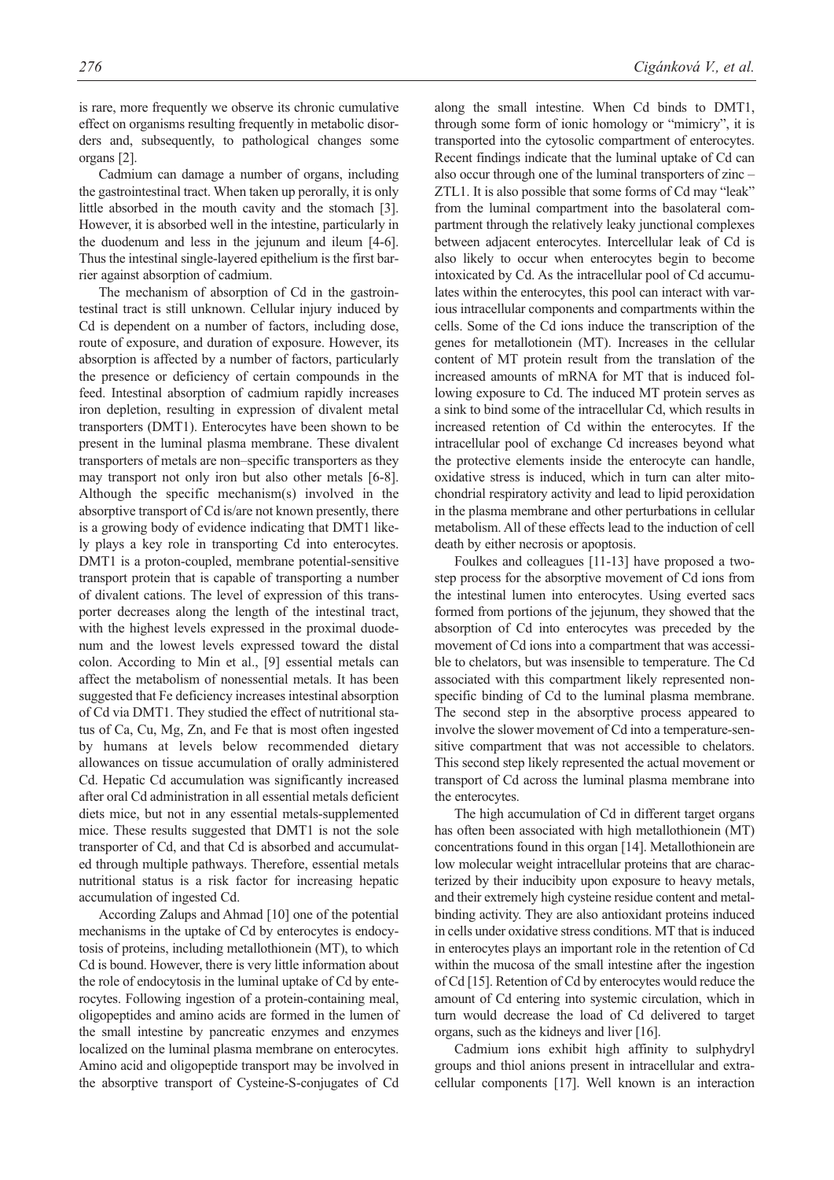is rare, more frequently we observe its chronic cumulative effect on organisms resulting frequently in metabolic disorders and, subsequently, to pathological changes some organs [2].

Cadmium can damage a number of organs, including the gastrointestinal tract. When taken up perorally, it is only little absorbed in the mouth cavity and the stomach [3]. However, it is absorbed well in the intestine, particularly in the duodenum and less in the jejunum and ileum [4-6]. Thus the intestinal single-layered epithelium is the first barrier against absorption of cadmium.

The mechanism of absorption of Cd in the gastrointestinal tract is still unknown. Cellular injury induced by Cd is dependent on a number of factors, including dose, route of exposure, and duration of exposure. However, its absorption is affected by a number of factors, particularly the presence or deficiency of certain compounds in the feed. Intestinal absorption of cadmium rapidly increases iron depletion, resulting in expression of divalent metal transporters (DMT1). Enterocytes have been shown to be present in the luminal plasma membrane. These divalent transporters of metals are non–specific transporters as they may transport not only iron but also other metals [6-8]. Although the specific mechanism(s) involved in the absorptive transport of Cd is/are not known presently, there is a growing body of evidence indicating that DMT1 likely plays a key role in transporting Cd into enterocytes. DMT1 is a proton-coupled, membrane potential-sensitive transport protein that is capable of transporting a number of divalent cations. The level of expression of this transporter decreases along the length of the intestinal tract, with the highest levels expressed in the proximal duodenum and the lowest levels expressed toward the distal colon. According to Min et al., [9] essential metals can affect the metabolism of nonessential metals. It has been suggested that Fe deficiency increases intestinal absorption of Cd via DMT1. They studied the effect of nutritional status of Ca, Cu, Mg, Zn, and Fe that is most often ingested by humans at levels below recommended dietary allowances on tissue accumulation of orally administered Cd. Hepatic Cd accumulation was significantly increased after oral Cd administration in all essential metals deficient diets mice, but not in any essential metals-supplemented mice. These results suggested that DMT1 is not the sole transporter of Cd, and that Cd is absorbed and accumulated through multiple pathways. Therefore, essential metals nutritional status is a risk factor for increasing hepatic accumulation of ingested Cd.

According Zalups and Ahmad [10] one of the potential mechanisms in the uptake of Cd by enterocytes is endocytosis of proteins, including metallothionein (MT), to which Cd is bound. However, there is very little information about the role of endocytosis in the luminal uptake of Cd by enterocytes. Following ingestion of a protein-containing meal, oligopeptides and amino acids are formed in the lumen of the small intestine by pancreatic enzymes and enzymes localized on the luminal plasma membrane on enterocytes. Amino acid and oligopeptide transport may be involved in the absorptive transport of Cysteine-S-conjugates of Cd along the small intestine. When Cd binds to DMT1, through some form of ionic homology or "mimicry", it is transported into the cytosolic compartment of enterocytes. Recent findings indicate that the luminal uptake of Cd can also occur through one of the luminal transporters of zinc – ZTL1. It is also possible that some forms of Cd may "leak" from the luminal compartment into the basolateral compartment through the relatively leaky junctional complexes between adjacent enterocytes. Intercellular leak of Cd is also likely to occur when enterocytes begin to become intoxicated by Cd. As the intracellular pool of Cd accumulates within the enterocytes, this pool can interact with various intracellular components and compartments within the cells. Some of the Cd ions induce the transcription of the genes for metallotionein (MT). Increases in the cellular content of MT protein result from the translation of the increased amounts of mRNA for MT that is induced following exposure to Cd. The induced MT protein serves as a sink to bind some of the intracellular Cd, which results in increased retention of Cd within the enterocytes. If the intracellular pool of exchange Cd increases beyond what the protective elements inside the enterocyte can handle, oxidative stress is induced, which in turn can alter mitochondrial respiratory activity and lead to lipid peroxidation in the plasma membrane and other perturbations in cellular metabolism. All of these effects lead to the induction of cell death by either necrosis or apoptosis.

Foulkes and colleagues [11-13] have proposed a twostep process for the absorptive movement of Cd ions from the intestinal lumen into enterocytes. Using everted sacs formed from portions of the jejunum, they showed that the absorption of Cd into enterocytes was preceded by the movement of Cd ions into a compartment that was accessible to chelators, but was insensible to temperature. The Cd associated with this compartment likely represented nonspecific binding of Cd to the luminal plasma membrane. The second step in the absorptive process appeared to involve the slower movement of Cd into a temperature-sensitive compartment that was not accessible to chelators. This second step likely represented the actual movement or transport of Cd across the luminal plasma membrane into the enterocytes.

The high accumulation of Cd in different target organs has often been associated with high metallothionein (MT) concentrations found in this organ [14]. Metallothionein are low molecular weight intracellular proteins that are characterized by their inducibity upon exposure to heavy metals, and their extremely high cysteine residue content and metalbinding activity. They are also antioxidant proteins induced in cells under oxidative stress conditions. MT that is induced in enterocytes plays an important role in the retention of Cd within the mucosa of the small intestine after the ingestion of Cd [15]. Retention of Cd by enterocytes would reduce the amount of Cd entering into systemic circulation, which in turn would decrease the load of Cd delivered to target organs, such as the kidneys and liver [16].

Cadmium ions exhibit high affinity to sulphydryl groups and thiol anions present in intracellular and extracellular components [17]. Well known is an interaction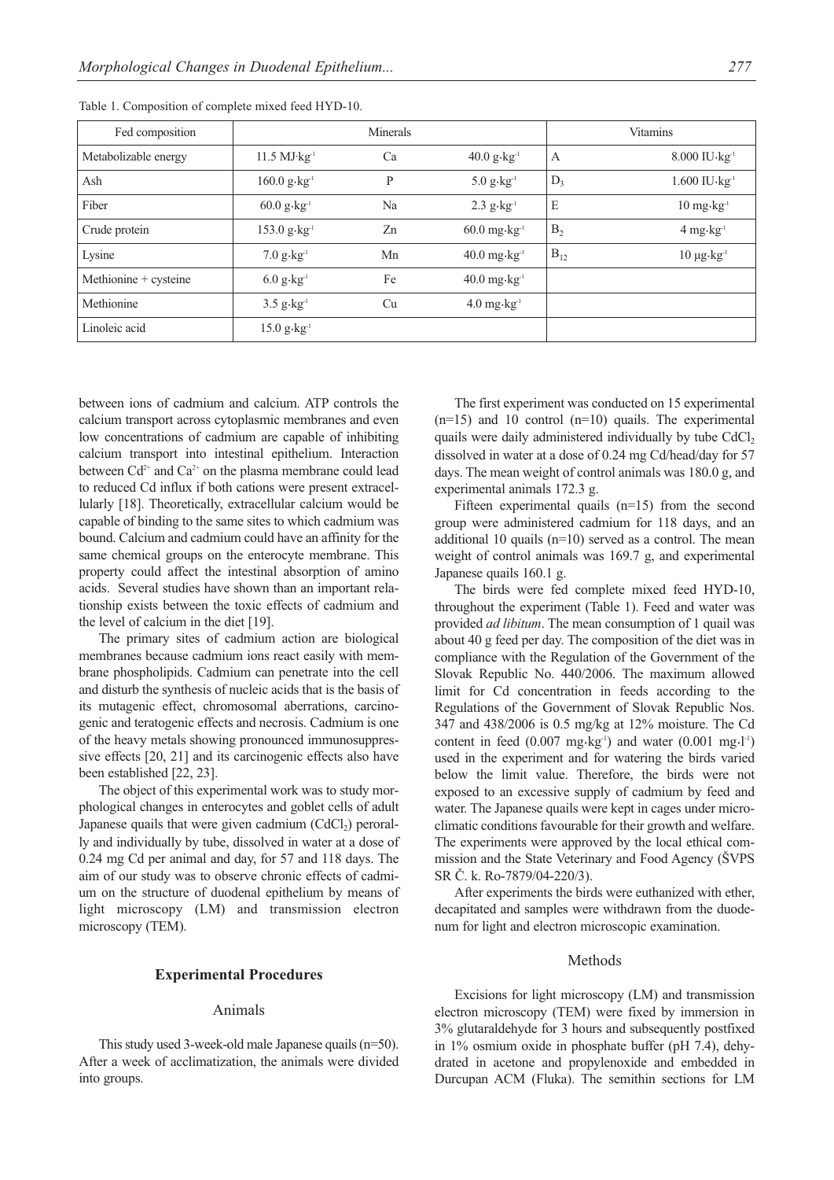| Fed composition       |                                    | Minerals |                                        |                | Vitamins                             |
|-----------------------|------------------------------------|----------|----------------------------------------|----------------|--------------------------------------|
| Metabolizable energy  | $11.5$ MJ $\cdot$ kg <sup>1</sup>  | Ca       | $40.0 \text{ g} \cdot \text{kg}^{-1}$  | А              | $8.000$ IU $\cdot$ kg <sup>1</sup>   |
| Ash                   | $160.0$ g $\cdot$ kg <sup>-1</sup> | P        | $5.0$ $g \cdot kg^{-1}$                | $D_3$          | $1.600$ $IU$ $kg-1$                  |
| Fiber                 | $60.0$ g $\cdot$ kg <sup>-1</sup>  | Na       | $2.3$ g $\cdot$ kg <sup>-1</sup>       | E              | $10 \text{ mg} \cdot \text{kg}^{-1}$ |
| Crude protein         | $153.0$ g $\cdot$ kg <sup>-1</sup> | Zn       | $60.0$ mg $\cdot$ kg <sup>1</sup>      | B <sub>2</sub> | $4$ mg $\cdot$ kg <sup>-1</sup>      |
| Lysine                | $7.0 g \cdot kg^{-1}$              | Mn       | $40.0 \text{ mg} \cdot \text{kg}^{-1}$ | $B_{12}$       | $10 \mu g \cdot kg^{-1}$             |
| Methionine + cysteine | $6.0$ g $\cdot$ kg <sup>1</sup>    | Fe       | $40.0$ mg $\cdot$ kg <sup>1</sup>      |                |                                      |
| Methionine            | $3.5$ g $\cdot$ kg <sup>1</sup>    | Cu       | $4.0$ mg $\cdot$ kg <sup>1</sup>       |                |                                      |
| Linoleic acid         | $15.0 g \cdot kg^{-1}$             |          |                                        |                |                                      |

Table 1. Composition of complete mixed feed HYD-10.

between ions of cadmium and calcium. ATP controls the calcium transport across cytoplasmic membranes and even low concentrations of cadmium are capable of inhibiting calcium transport into intestinal epithelium. Interaction between  $Cd^{2+}$  and  $Ca^{2+}$  on the plasma membrane could lead to reduced Cd influx if both cations were present extracellularly [18]. Theoretically, extracellular calcium would be capable of binding to the same sites to which cadmium was bound. Calcium and cadmium could have an affinity for the same chemical groups on the enterocyte membrane. This property could affect the intestinal absorption of amino acids. Several studies have shown than an important relationship exists between the toxic effects of cadmium and the level of calcium in the diet [19].

The primary sites of cadmium action are biological membranes because cadmium ions react easily with membrane phospholipids. Cadmium can penetrate into the cell and disturb the synthesis of nucleic acids that is the basis of its mutagenic effect, chromosomal aberrations, carcinogenic and teratogenic effects and necrosis. Cadmium is one of the heavy metals showing pronounced immunosuppressive effects [20, 21] and its carcinogenic effects also have been established [22, 23].

The object of this experimental work was to study morphological changes in enterocytes and goblet cells of adult Japanese quails that were given cadmium  $(CdCl<sub>2</sub>)$  perorally and individually by tube, dissolved in water at a dose of 0.24 mg Cd per animal and day, for 57 and 118 days. The aim of our study was to observe chronic effects of cadmium on the structure of duodenal epithelium by means of light microscopy (LM) and transmission electron microscopy (TEM).

# **Experimental Procedures**

#### Animals

This study used 3-week-old male Japanese quails (n=50). After a week of acclimatization, the animals were divided into groups.

The first experiment was conducted on 15 experimental  $(n=15)$  and 10 control  $(n=10)$  quails. The experimental quails were daily administered individually by tube CdCl<sub>2</sub> dissolved in water at a dose of 0.24 mg Cd/head/day for 57 days. The mean weight of control animals was 180.0 g, and experimental animals 172.3 g.

Fifteen experimental quails (n=15) from the second group were administered cadmium for 118 days, and an additional 10 quails (n=10) served as a control. The mean weight of control animals was 169.7 g, and experimental Japanese quails 160.1 g.

The birds were fed complete mixed feed HYD-10, throughout the experiment (Table 1). Feed and water was provided *ad libitum*. The mean consumption of 1 quail was about 40 g feed per day. The composition of the diet was in compliance with the Regulation of the Government of the Slovak Republic No. 440/2006. The maximum allowed limit for Cd concentration in feeds according to the Regulations of the Government of Slovak Republic Nos. 347 and 438/2006 is 0.5 mg/kg at 12% moisture. The Cd content in feed  $(0.007 \text{ mg} \cdot \text{kg}^{-1})$  and water  $(0.001 \text{ mg} \cdot \text{L}^{-1})$ used in the experiment and for watering the birds varied below the limit value. Therefore, the birds were not exposed to an excessive supply of cadmium by feed and water. The Japanese quails were kept in cages under microclimatic conditions favourable for their growth and welfare. The experiments were approved by the local ethical commission and the State Veterinary and Food Agency (ŠVPS SR Č. k. Ro-7879/04-220/3).

After experiments the birds were euthanized with ether, decapitated and samples were withdrawn from the duodenum for light and electron microscopic examination.

# Methods

Excisions for light microscopy (LM) and transmission electron microscopy (TEM) were fixed by immersion in 3% glutaraldehyde for 3 hours and subsequently postfixed in 1% osmium oxide in phosphate buffer (pH 7.4), dehydrated in acetone and propylenoxide and embedded in Durcupan ACM (Fluka). The semithin sections for LM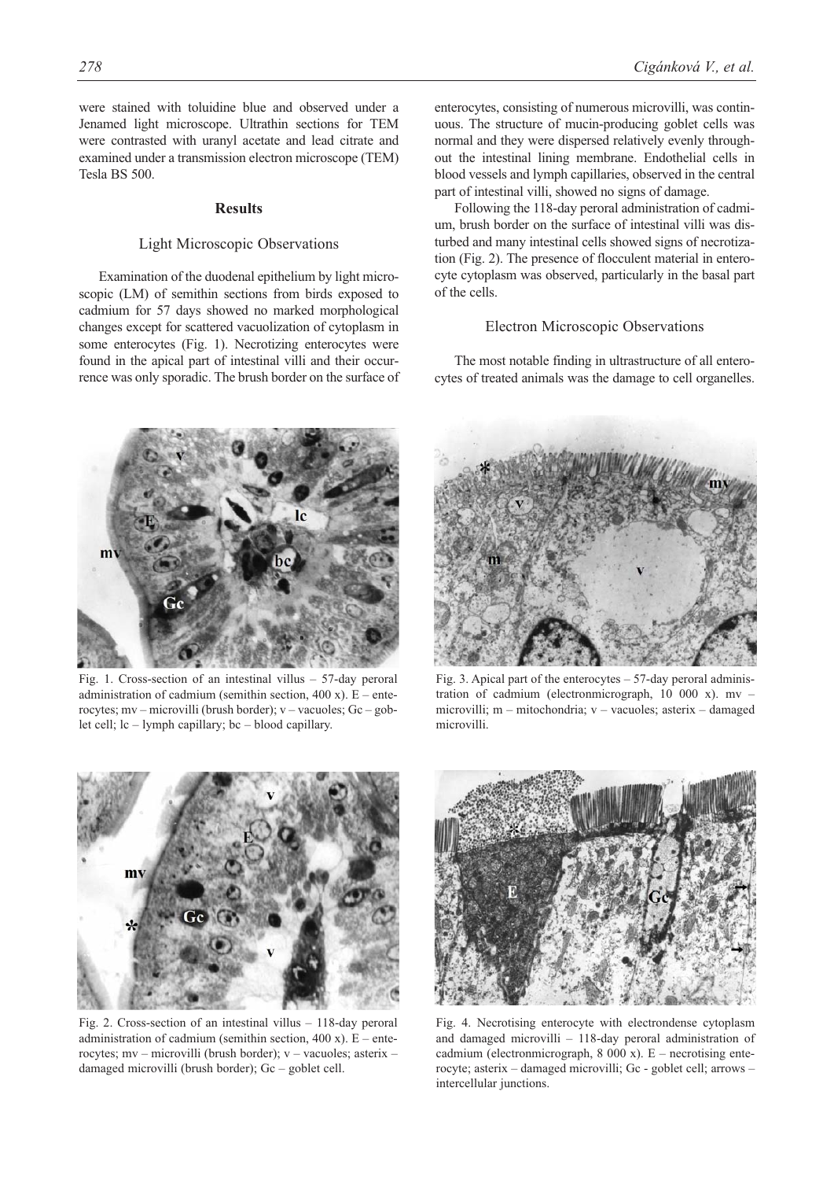were stained with toluidine blue and observed under a Jenamed light microscope. Ultrathin sections for TEM were contrasted with uranyl acetate and lead citrate and examined under a transmission electron microscope (TEM) Tesla BS 500.

#### **Results**

## Light Microscopic Observations

Examination of the duodenal epithelium by light microscopic (LM) of semithin sections from birds exposed to cadmium for 57 days showed no marked morphological changes except for scattered vacuolization of cytoplasm in some enterocytes (Fig. 1). Necrotizing enterocytes were found in the apical part of intestinal villi and their occurrence was only sporadic. The brush border on the surface of enterocytes, consisting of numerous microvilli, was continuous. The structure of mucin-producing goblet cells was normal and they were dispersed relatively evenly throughout the intestinal lining membrane. Endothelial cells in blood vessels and lymph capillaries, observed in the central part of intestinal villi, showed no signs of damage.

Following the 118-day peroral administration of cadmium, brush border on the surface of intestinal villi was disturbed and many intestinal cells showed signs of necrotization (Fig. 2). The presence of flocculent material in enterocyte cytoplasm was observed, particularly in the basal part of the cells.

#### Electron Microscopic Observations

The most notable finding in ultrastructure of all enterocytes of treated animals was the damage to cell organelles.



Fig. 1. Cross-section of an intestinal villus – 57-day peroral administration of cadmium (semithin section, 400 x).  $E$  – enterocytes; mv – microvilli (brush border); v – vacuoles; Gc – goblet cell; lc – lymph capillary; bc – blood capillary.



Fig. 3. Apical part of the enterocytes  $-57$ -day peroral administration of cadmium (electronmicrograph, 10 000 x). mv – microvilli; m – mitochondria; v – vacuoles; asterix – damaged microvilli.



Fig. 2. Cross-section of an intestinal villus – 118-day peroral administration of cadmium (semithin section,  $400 \text{ x}$ ). E – enterocytes; mv – microvilli (brush border); v – vacuoles; asterix – damaged microvilli (brush border); Gc – goblet cell.



Fig. 4. Necrotising enterocyte with electrondense cytoplasm and damaged microvilli – 118-day peroral administration of cadmium (electronmicrograph,  $8000 \text{ x}$ ). E – necrotising enterocyte; asterix – damaged microvilli; Gc - goblet cell; arrows – intercellular junctions.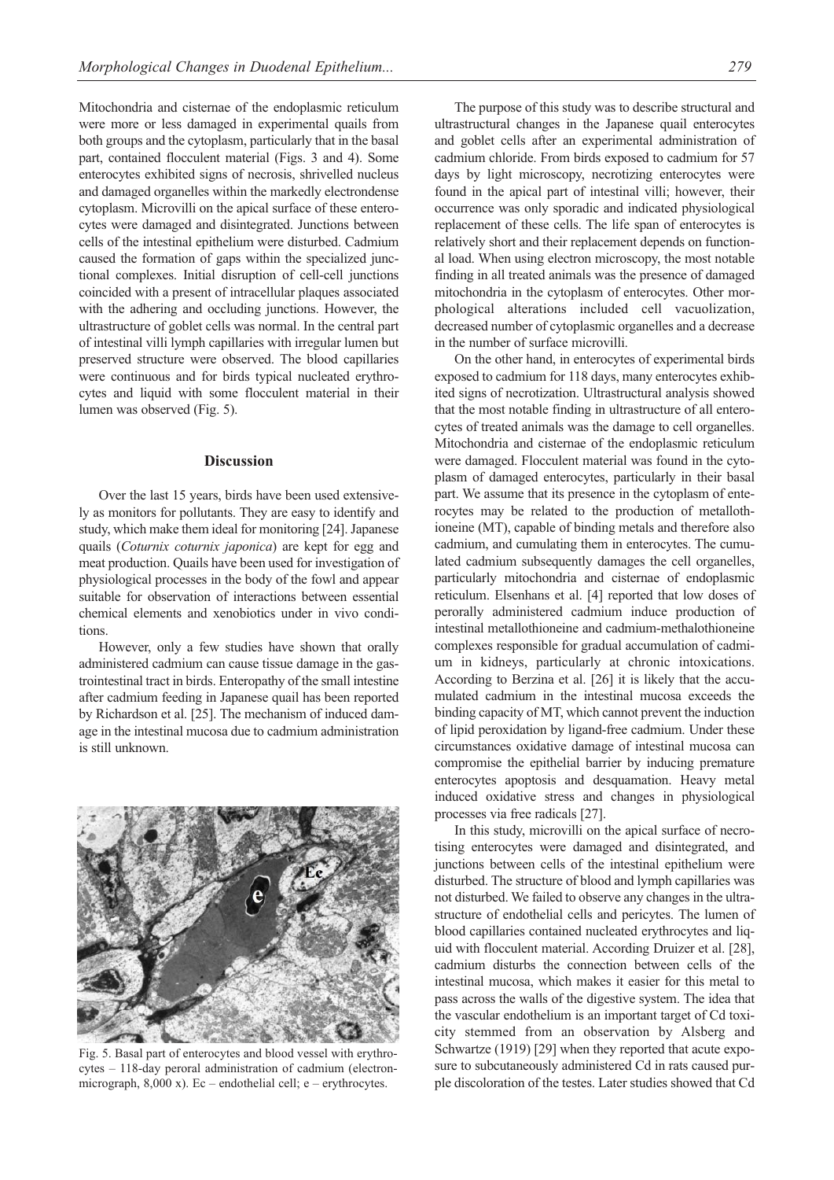Mitochondria and cisternae of the endoplasmic reticulum were more or less damaged in experimental quails from both groups and the cytoplasm, particularly that in the basal part, contained flocculent material (Figs. 3 and 4). Some enterocytes exhibited signs of necrosis, shrivelled nucleus and damaged organelles within the markedly electrondense cytoplasm. Microvilli on the apical surface of these enterocytes were damaged and disintegrated. Junctions between cells of the intestinal epithelium were disturbed. Cadmium caused the formation of gaps within the specialized junctional complexes. Initial disruption of cell-cell junctions coincided with a present of intracellular plaques associated with the adhering and occluding junctions. However, the ultrastructure of goblet cells was normal. In the central part of intestinal villi lymph capillaries with irregular lumen but preserved structure were observed. The blood capillaries were continuous and for birds typical nucleated erythrocytes and liquid with some flocculent material in their lumen was observed (Fig. 5).

#### **Discussion**

Over the last 15 years, birds have been used extensively as monitors for pollutants. They are easy to identify and study, which make them ideal for monitoring [24]. Japanese quails (*Coturnix coturnix japonica*) are kept for egg and meat production. Quails have been used for investigation of physiological processes in the body of the fowl and appear suitable for observation of interactions between essential chemical elements and xenobiotics under in vivo conditions.

However, only a few studies have shown that orally administered cadmium can cause tissue damage in the gastrointestinal tract in birds. Enteropathy of the small intestine after cadmium feeding in Japanese quail has been reported by Richardson et al. [25]. The mechanism of induced damage in the intestinal mucosa due to cadmium administration is still unknown.



Fig. 5. Basal part of enterocytes and blood vessel with erythrocytes – 118-day peroral administration of cadmium (electronmicrograph,  $8,000 \text{ x}$ ). Ec – endothelial cell; e – erythrocytes.

The purpose of this study was to describe structural and ultrastructural changes in the Japanese quail enterocytes and goblet cells after an experimental administration of cadmium chloride. From birds exposed to cadmium for 57 days by light microscopy, necrotizing enterocytes were found in the apical part of intestinal villi; however, their occurrence was only sporadic and indicated physiological replacement of these cells. The life span of enterocytes is relatively short and their replacement depends on functional load. When using electron microscopy, the most notable finding in all treated animals was the presence of damaged mitochondria in the cytoplasm of enterocytes. Other morphological alterations included cell vacuolization, decreased number of cytoplasmic organelles and a decrease in the number of surface microvilli.

On the other hand, in enterocytes of experimental birds exposed to cadmium for 118 days, many enterocytes exhibited signs of necrotization. Ultrastructural analysis showed that the most notable finding in ultrastructure of all enterocytes of treated animals was the damage to cell organelles. Mitochondria and cisternae of the endoplasmic reticulum were damaged. Flocculent material was found in the cytoplasm of damaged enterocytes, particularly in their basal part. We assume that its presence in the cytoplasm of enterocytes may be related to the production of metallothioneine (MT), capable of binding metals and therefore also cadmium, and cumulating them in enterocytes. The cumulated cadmium subsequently damages the cell organelles, particularly mitochondria and cisternae of endoplasmic reticulum. Elsenhans et al. [4] reported that low doses of perorally administered cadmium induce production of intestinal metallothioneine and cadmium-methalothioneine complexes responsible for gradual accumulation of cadmium in kidneys, particularly at chronic intoxications. According to Berzina et al. [26] it is likely that the accumulated cadmium in the intestinal mucosa exceeds the binding capacity of MT, which cannot prevent the induction of lipid peroxidation by ligand-free cadmium. Under these circumstances oxidative damage of intestinal mucosa can compromise the epithelial barrier by inducing premature enterocytes apoptosis and desquamation. Heavy metal induced oxidative stress and changes in physiological processes via free radicals [27].

In this study, microvilli on the apical surface of necrotising enterocytes were damaged and disintegrated, and junctions between cells of the intestinal epithelium were disturbed. The structure of blood and lymph capillaries was not disturbed. We failed to observe any changes in the ultrastructure of endothelial cells and pericytes. The lumen of blood capillaries contained nucleated erythrocytes and liquid with flocculent material. According Druizer et al. [28], cadmium disturbs the connection between cells of the intestinal mucosa, which makes it easier for this metal to pass across the walls of the digestive system. The idea that the vascular endothelium is an important target of Cd toxicity stemmed from an observation by Alsberg and Schwartze (1919) [29] when they reported that acute exposure to subcutaneously administered Cd in rats caused purple discoloration of the testes. Later studies showed that Cd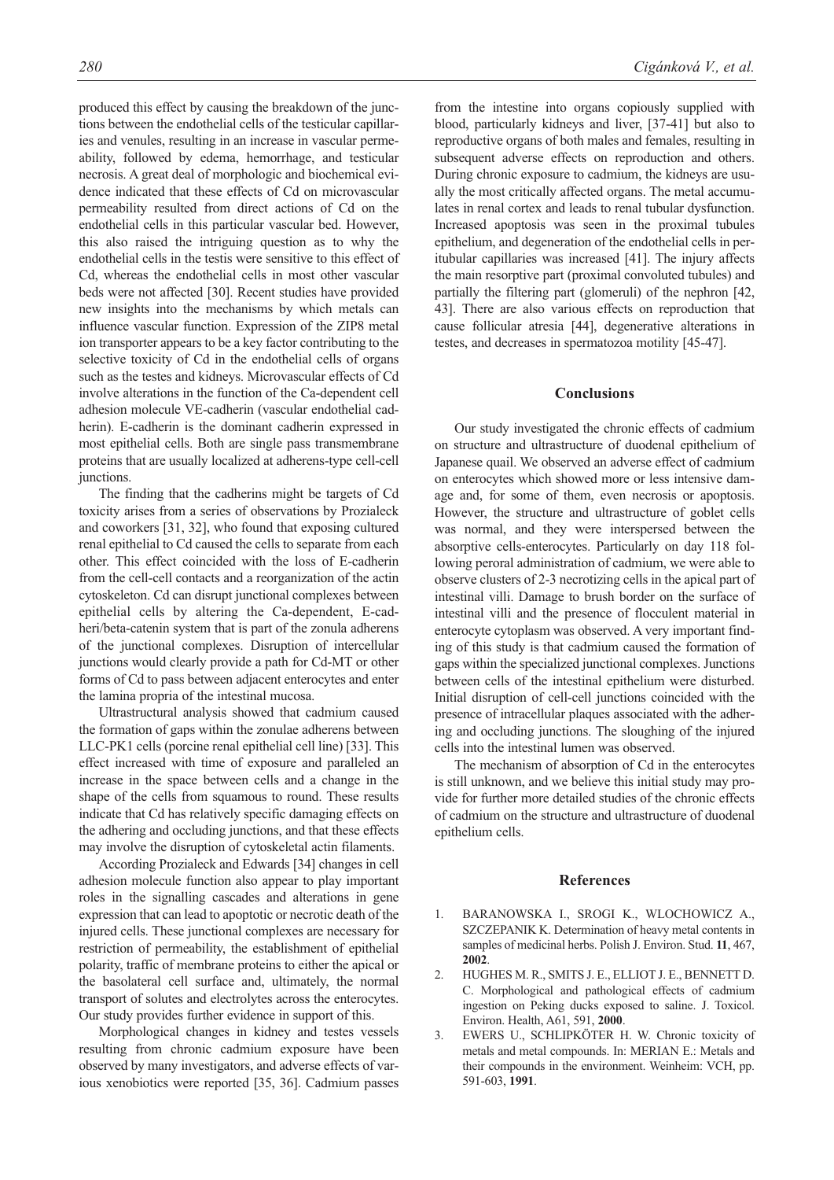produced this effect by causing the breakdown of the junctions between the endothelial cells of the testicular capillaries and venules, resulting in an increase in vascular permeability, followed by edema, hemorrhage, and testicular necrosis. A great deal of morphologic and biochemical evidence indicated that these effects of Cd on microvascular permeability resulted from direct actions of Cd on the endothelial cells in this particular vascular bed. However, this also raised the intriguing question as to why the endothelial cells in the testis were sensitive to this effect of Cd, whereas the endothelial cells in most other vascular beds were not affected [30]. Recent studies have provided new insights into the mechanisms by which metals can influence vascular function. Expression of the ZIP8 metal ion transporter appears to be a key factor contributing to the selective toxicity of Cd in the endothelial cells of organs such as the testes and kidneys. Microvascular effects of Cd involve alterations in the function of the Ca-dependent cell adhesion molecule VE-cadherin (vascular endothelial cadherin). E-cadherin is the dominant cadherin expressed in most epithelial cells. Both are single pass transmembrane proteins that are usually localized at adherens-type cell-cell junctions.

The finding that the cadherins might be targets of Cd toxicity arises from a series of observations by Prozialeck and coworkers [31, 32], who found that exposing cultured renal epithelial to Cd caused the cells to separate from each other. This effect coincided with the loss of E-cadherin from the cell-cell contacts and a reorganization of the actin cytoskeleton. Cd can disrupt junctional complexes between epithelial cells by altering the Ca-dependent, E-cadheri/beta-catenin system that is part of the zonula adherens of the junctional complexes. Disruption of intercellular junctions would clearly provide a path for Cd-MT or other forms of Cd to pass between adjacent enterocytes and enter the lamina propria of the intestinal mucosa.

Ultrastructural analysis showed that cadmium caused the formation of gaps within the zonulae adherens between LLC-PK1 cells (porcine renal epithelial cell line) [33]. This effect increased with time of exposure and paralleled an increase in the space between cells and a change in the shape of the cells from squamous to round. These results indicate that Cd has relatively specific damaging effects on the adhering and occluding junctions, and that these effects may involve the disruption of cytoskeletal actin filaments.

According Prozialeck and Edwards [34] changes in cell adhesion molecule function also appear to play important roles in the signalling cascades and alterations in gene expression that can lead to apoptotic or necrotic death of the injured cells. These junctional complexes are necessary for restriction of permeability, the establishment of epithelial polarity, traffic of membrane proteins to either the apical or the basolateral cell surface and, ultimately, the normal transport of solutes and electrolytes across the enterocytes. Our study provides further evidence in support of this.

Morphological changes in kidney and testes vessels resulting from chronic cadmium exposure have been observed by many investigators, and adverse effects of various xenobiotics were reported [35, 36]. Cadmium passes from the intestine into organs copiously supplied with blood, particularly kidneys and liver, [37-41] but also to reproductive organs of both males and females, resulting in subsequent adverse effects on reproduction and others. During chronic exposure to cadmium, the kidneys are usually the most critically affected organs. The metal accumulates in renal cortex and leads to renal tubular dysfunction. Increased apoptosis was seen in the proximal tubules epithelium, and degeneration of the endothelial cells in peritubular capillaries was increased [41]. The injury affects the main resorptive part (proximal convoluted tubules) and partially the filtering part (glomeruli) of the nephron [42, 43]. There are also various effects on reproduction that cause follicular atresia [44], degenerative alterations in testes, and decreases in spermatozoa motility [45-47].

# **Conclusions**

Our study investigated the chronic effects of cadmium on structure and ultrastructure of duodenal epithelium of Japanese quail. We observed an adverse effect of cadmium on enterocytes which showed more or less intensive damage and, for some of them, even necrosis or apoptosis. However, the structure and ultrastructure of goblet cells was normal, and they were interspersed between the absorptive cells-enterocytes. Particularly on day 118 following peroral administration of cadmium, we were able to observe clusters of 2-3 necrotizing cells in the apical part of intestinal villi. Damage to brush border on the surface of intestinal villi and the presence of flocculent material in enterocyte cytoplasm was observed. A very important finding of this study is that cadmium caused the formation of gaps within the specialized junctional complexes. Junctions between cells of the intestinal epithelium were disturbed. Initial disruption of cell-cell junctions coincided with the presence of intracellular plaques associated with the adhering and occluding junctions. The sloughing of the injured cells into the intestinal lumen was observed.

The mechanism of absorption of Cd in the enterocytes is still unknown, and we believe this initial study may provide for further more detailed studies of the chronic effects of cadmium on the structure and ultrastructure of duodenal epithelium cells.

## **References**

- 1. BARANOWSKA I., SROGI K., WLOCHOWICZ A., SZCZEPANIK K. Determination of heavy metal contents in samples of medicinal herbs. Polish J. Environ. Stud. **11**, 467, **2002**.
- 2. HUGHES M. R., SMITS J. E., ELLIOT J. E., BENNETT D. C. Morphological and pathological effects of cadmium ingestion on Peking ducks exposed to saline. J. Toxicol. Environ. Health, A61, 591, **2000**.
- 3. EWERS U., SCHLIPKÖTER H. W. Chronic toxicity of metals and metal compounds. In: MERIAN E.: Metals and their compounds in the environment. Weinheim: VCH, pp. 591-603, **1991**.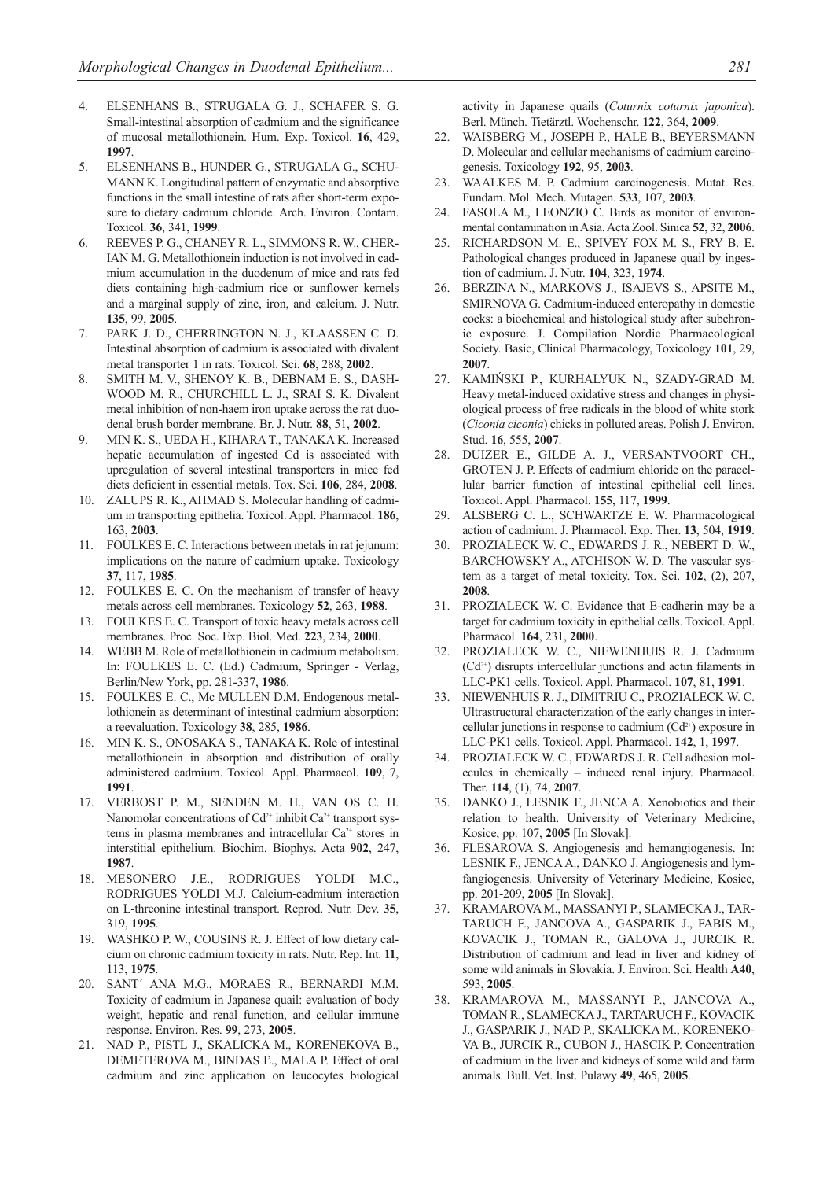- 4. ELSENHANS B., STRUGALA G. J., SCHAFER S. G. Small-intestinal absorption of cadmium and the significance of mucosal metallothionein. Hum. Exp. Toxicol. **16**, 429, **1997**.
- 5. ELSENHANS B., HUNDER G., STRUGALA G., SCHU-MANN K. Longitudinal pattern of enzymatic and absorptive functions in the small intestine of rats after short-term exposure to dietary cadmium chloride. Arch. Environ. Contam. Toxicol. **36**, 341, **1999**.
- 6. REEVES P. G., CHANEY R. L., SIMMONS R. W., CHER-IAN M. G. Metallothionein induction is not involved in cadmium accumulation in the duodenum of mice and rats fed diets containing high-cadmium rice or sunflower kernels and a marginal supply of zinc, iron, and calcium. J. Nutr. **135**, 99, **2005**.
- 7. PARK J. D., CHERRINGTON N. J., KLAASSEN C. D. Intestinal absorption of cadmium is associated with divalent metal transporter 1 in rats. Toxicol. Sci. **68**, 288, **2002**.
- 8. SMITH M. V., SHENOY K. B., DEBNAM E. S., DASH-WOOD M. R., CHURCHILL L. J., SRAI S. K. Divalent metal inhibition of non-haem iron uptake across the rat duodenal brush border membrane. Br. J. Nutr. **88**, 51, **2002**.
- 9. MIN K. S., UEDA H., KIHARA T., TANAKA K. Increased hepatic accumulation of ingested Cd is associated with upregulation of several intestinal transporters in mice fed diets deficient in essential metals. Tox. Sci. **106**, 284, **2008**.
- 10. ZALUPS R. K., AHMAD S. Molecular handling of cadmium in transporting epithelia. Toxicol. Appl. Pharmacol. **186**, 163, **2003**.
- 11. FOULKES E. C. Interactions between metals in rat jejunum: implications on the nature of cadmium uptake. Toxicology **37**, 117, **1985**.
- 12. FOULKES E. C. On the mechanism of transfer of heavy metals across cell membranes. Toxicology **52**, 263, **1988**.
- 13. FOULKES E. C. Transport of toxic heavy metals across cell membranes. Proc. Soc. Exp. Biol. Med. **223**, 234, **2000**.
- 14. WEBB M. Role of metallothionein in cadmium metabolism. In: FOULKES E. C. (Ed.) Cadmium, Springer - Verlag, Berlin/New York, pp. 281-337, **1986**.
- 15. FOULKES E. C., Mc MULLEN D.M. Endogenous metallothionein as determinant of intestinal cadmium absorption: a reevaluation. Toxicology **38**, 285, **1986**.
- 16. MIN K. S., ONOSAKA S., TANAKA K. Role of intestinal metallothionein in absorption and distribution of orally administered cadmium. Toxicol. Appl. Pharmacol. **109**, 7, **1991**.
- 17. VERBOST P. M., SENDEN M. H., VAN OS C. H. Nanomolar concentrations of Cd<sup>2+</sup> inhibit Ca<sup>2+</sup> transport systems in plasma membranes and intracellular  $Ca^{2+}$  stores in interstitial epithelium. Biochim. Biophys. Acta **902**, 247, **1987**.
- 18. MESONERO J.E., RODRIGUES YOLDI M.C., RODRIGUES YOLDI M.J. Calcium-cadmium interaction on L-threonine intestinal transport. Reprod. Nutr. Dev. **35**, 319, **1995**.
- WASHKO P. W., COUSINS R. J. Effect of low dietary calcium on chronic cadmium toxicity in rats. Nutr. Rep. Int. **11**, 113, **1975**.
- 20. SANT´ ANA M.G., MORAES R., BERNARDI M.M. Toxicity of cadmium in Japanese quail: evaluation of body weight, hepatic and renal function, and cellular immune response. Environ. Res. **99**, 273, **2005**.
- 21. NAD P., PISTL J., SKALICKA M., KORENEKOVA B., DEMETEROVA M., BINDAS Ľ., MALA P. Effect of oral cadmium and zinc application on leucocytes biological

activity in Japanese quails (*Coturnix coturnix japonica*). Berl. Münch. Tietärztl. Wochenschr. **122**, 364, **2009**.

- 22. WAISBERG M., JOSEPH P., HALE B., BEYERSMANN D. Molecular and cellular mechanisms of cadmium carcinogenesis. Toxicology **192**, 95, **2003**.
- 23. WAALKES M. P. Cadmium carcinogenesis. Mutat. Res. Fundam. Mol. Mech. Mutagen. **533**, 107, **2003**.
- 24. FASOLA M., LEONZIO C. Birds as monitor of environmental contamination in Asia. Acta Zool. Sinica **52**, 32, **2006**.
- 25. RICHARDSON M. E., SPIVEY FOX M. S., FRY B. E. Pathological changes produced in Japanese quail by ingestion of cadmium. J. Nutr. **104**, 323, **1974**.
- 26. BERZINA N., MARKOVS J., ISAJEVS S., APSITE M., SMIRNOVA G. Cadmium-induced enteropathy in domestic cocks: a biochemical and histological study after subchronic exposure. J. Compilation Nordic Pharmacological Society. Basic, Clinical Pharmacology, Toxicology **101**, 29, **2007**.
- 27. KAMIŃSKI P., KURHALYUK N., SZADY-GRAD M. Heavy metal-induced oxidative stress and changes in physiological process of free radicals in the blood of white stork (*Ciconia ciconia*) chicks in polluted areas. Polish J. Environ. Stud. **16**, 555, **2007**.
- 28. DUIZER E., GILDE A. J., VERSANTVOORT CH., GROTEN J. P. Effects of cadmium chloride on the paracellular barrier function of intestinal epithelial cell lines. Toxicol. Appl. Pharmacol. **155**, 117, **1999**.
- 29. ALSBERG C. L., SCHWARTZE E. W. Pharmacological action of cadmium. J. Pharmacol. Exp. Ther. **13**, 504, **1919**.
- 30. PROZIALECK W. C., EDWARDS J. R., NEBERT D. W., BARCHOWSKY A., ATCHISON W. D. The vascular system as a target of metal toxicity. Tox. Sci. **102**, (2), 207, **2008**.
- 31. PROZIALECK W. C. Evidence that E-cadherin may be a target for cadmium toxicity in epithelial cells. Toxicol. Appl. Pharmacol. **164**, 231, **2000**.
- 32. PROZIALECK W. C., NIEWENHUIS R. J. Cadmium (Cd2+) disrupts intercellular junctions and actin filaments in LLC-PK1 cells. Toxicol. Appl. Pharmacol. **107**, 81, **1991**.
- 33. NIEWENHUIS R. J., DIMITRIU C., PROZIALECK W. C. Ultrastructural characterization of the early changes in intercellular junctions in response to cadmium  $(Cd^{2+})$  exposure in LLC-PK1 cells. Toxicol. Appl. Pharmacol. **142**, 1, **1997**.
- 34. PROZIALECK W. C., EDWARDS J. R. Cell adhesion molecules in chemically – induced renal injury. Pharmacol. Ther. **114**, (1), 74, **2007**.
- 35. DANKO J., LESNIK F., JENCA A. Xenobiotics and their relation to health. University of Veterinary Medicine, Kosice, pp. 107, **2005** [In Slovak].
- 36. FLESAROVA S. Angiogenesis and hemangiogenesis. In: LESNIK F., JENCA A., DANKO J. Angiogenesis and lymfangiogenesis. University of Veterinary Medicine, Kosice, pp. 201-209, **2005** [In Slovak].
- 37. KRAMAROVA M., MASSANYI P., SLAMECKA J., TAR-TARUCH F., JANCOVA A., GASPARIK J., FABIS M., KOVACIK J., TOMAN R., GALOVA J., JURCIK R. Distribution of cadmium and lead in liver and kidney of some wild animals in Slovakia. J. Environ. Sci. Health **A40**, 593, **2005**.
- 38. KRAMAROVA M., MASSANYI P., JANCOVA A., TOMAN R., SLAMECKA J., TARTARUCH F., KOVACIK J., GASPARIK J., NAD P., SKALICKA M., KORENEKO-VA B., JURCIK R., CUBON J., HASCIK P. Concentration of cadmium in the liver and kidneys of some wild and farm animals. Bull. Vet. Inst. Pulawy **49**, 465, **2005**.